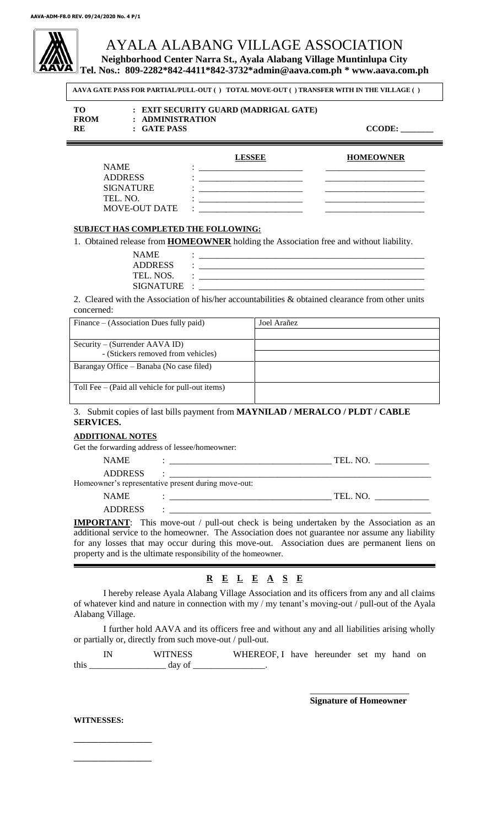# AYALA ALABANG VILLAGE ASSOCIATION

**Neighborhood Center Narra St., Ayala Alabang Village Muntinlupa City**

**Tel. Nos.: 809-2282\*842-4411\*842-3732\*admin@aava.com.ph \* www.aava.com.ph**

**AAVA GATE PASS FOR PARTIAL/PULL-OUT ( ) TOTAL MOVE-OUT ( ) TRANSFER WITH IN THE VILLAGE ( )**

| TО<br><b>FROM</b> | : EXIT SECURITY GUARD (MADRIGAL GATE)<br>: ADMINISTRATION |
|-------------------|-----------------------------------------------------------|
| <b>RE</b>         | : GATE PASS                                               |

 $CCODE:$ 

| <b>NAME</b>          | <b>LESSEE</b><br>۰ | <b>HOMEOWNER</b> |
|----------------------|--------------------|------------------|
| <b>ADDRESS</b>       |                    |                  |
| <b>SIGNATURE</b>     |                    |                  |
| TEL. NO.             |                    |                  |
| <b>MOVE-OUT DATE</b> | ۰                  |                  |

# **SUBJECT HAS COMPLETED THE FOLLOWING:**

1. Obtained release from **HOMEOWNER** holding the Association free and without liability.

| <b>NAME</b>      |  |
|------------------|--|
| <b>ADDRESS</b>   |  |
| TEL. NOS.        |  |
| <b>SIGNATURE</b> |  |

2. Cleared with the Association of his/her accountabilities & obtained clearance from other units concerned:

| Finance $-$ (Association Dues fully paid)          | Joel Arañez |  |
|----------------------------------------------------|-------------|--|
|                                                    |             |  |
| Security – (Surrender AAVA ID)                     |             |  |
| - (Stickers removed from vehicles)                 |             |  |
| Barangay Office – Banaba (No case filed)           |             |  |
|                                                    |             |  |
| Toll Fee $-$ (Paid all vehicle for pull-out items) |             |  |
|                                                    |             |  |

## 3. Submit copies of last bills payment from **MAYNILAD / MERALCO / PLDT / CABLE SERVICES.**

## **ADDITIONAL NOTES**

Get the forwarding address of lessee/homeowner:

| <b>NAME</b>    |                                                                                                                      | TEL. NO. |  |
|----------------|----------------------------------------------------------------------------------------------------------------------|----------|--|
| <b>ADDRESS</b> | <u> 2001 - Jan Barat, martin da basar da basar da basar da basar da basar da basar da basar da basar da basar da</u> |          |  |
|                | Homeowner's representative present during move-out:                                                                  |          |  |
| <b>NAME</b>    |                                                                                                                      | TEL. NO. |  |
| <b>ADDRESS</b> |                                                                                                                      |          |  |

**IMPORTANT**: This move-out / pull-out check is being undertaken by the Association as an additional service to the homeowner. The Association does not guarantee nor assume any liability for any losses that may occur during this move-out. Association dues are permanent liens on property and is the ultimate responsibility of the homeowner.

# **R E L E A S E**

I hereby release Ayala Alabang Village Association and its officers from any and all claims of whatever kind and nature in connection with my / my tenant's moving-out / pull-out of the Ayala Alabang Village.

I further hold AAVA and its officers free and without any and all liabilities arising wholly or partially or, directly from such move-out / pull-out.

|      | <b>WITNESS</b> | WHEREOF, I have hereunder set my hand on |  |  |  |
|------|----------------|------------------------------------------|--|--|--|
| this | day of         |                                          |  |  |  |

\_\_\_\_\_\_\_\_\_\_\_\_\_\_\_\_\_\_\_\_\_\_ **Signature of Homeowner**

**WITNESSES:**

**\_\_\_\_\_\_\_\_\_\_\_\_\_\_\_\_\_\_\_**

**\_\_\_\_\_\_\_\_\_\_\_\_\_\_\_\_\_\_\_**